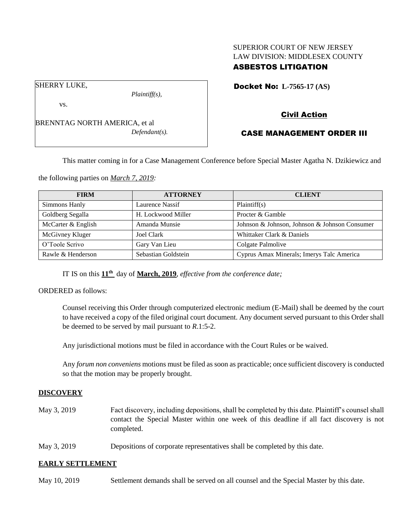## SUPERIOR COURT OF NEW JERSEY LAW DIVISION: MIDDLESEX COUNTY ASBESTOS LITIGATION

Docket No: **L-7565-17 (AS)** 

vs.

SHERRY LUKE,

BRENNTAG NORTH AMERICA, et al *Defendant(s).*

*Plaintiff(s),*

# Civil Action

# CASE MANAGEMENT ORDER III

This matter coming in for a Case Management Conference before Special Master Agatha N. Dzikiewicz and

the following parties on *March 7, 2019:*

| <b>FIRM</b>        | <b>ATTORNEY</b>     | <b>CLIENT</b>                                 |
|--------------------|---------------------|-----------------------------------------------|
| Simmons Hanly      | Laurence Nassif     | Plaintiff(s)                                  |
| Goldberg Segalla   | H. Lockwood Miller  | Procter & Gamble                              |
| McCarter & English | Amanda Munsie       | Johnson & Johnson, Johnson & Johnson Consumer |
| McGivney Kluger    | Joel Clark          | Whittaker Clark & Daniels                     |
| O'Toole Scrivo     | Gary Van Lieu       | Colgate Palmolive                             |
| Rawle & Henderson  | Sebastian Goldstein | Cyprus Amax Minerals; Imerys Talc America     |

IT IS on this **11th** day of **March, 2019**, *effective from the conference date;*

ORDERED as follows:

Counsel receiving this Order through computerized electronic medium (E-Mail) shall be deemed by the court to have received a copy of the filed original court document. Any document served pursuant to this Order shall be deemed to be served by mail pursuant to *R*.1:5-2.

Any jurisdictional motions must be filed in accordance with the Court Rules or be waived.

Any *forum non conveniens* motions must be filed as soon as practicable; once sufficient discovery is conducted so that the motion may be properly brought.

## **DISCOVERY**

- May 3, 2019 Fact discovery, including depositions, shall be completed by this date. Plaintiff's counsel shall contact the Special Master within one week of this deadline if all fact discovery is not completed.
- May 3, 2019 Depositions of corporate representatives shall be completed by this date.

## **EARLY SETTLEMENT**

May 10, 2019 Settlement demands shall be served on all counsel and the Special Master by this date.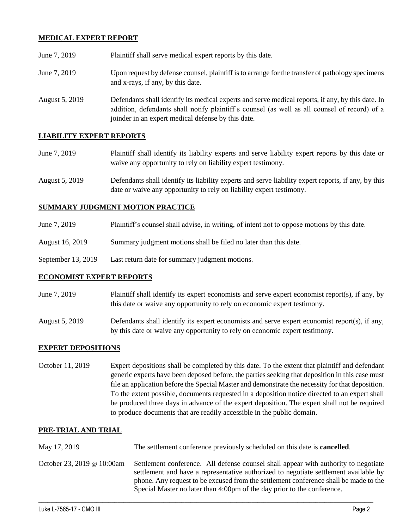## **MEDICAL EXPERT REPORT**

| June 7, 2019   | Plaintiff shall serve medical expert reports by this date.                                                                                                                                                                                               |
|----------------|----------------------------------------------------------------------------------------------------------------------------------------------------------------------------------------------------------------------------------------------------------|
| June 7, 2019   | Upon request by defense counsel, plaintiff is to arrange for the transfer of pathology specimens<br>and x-rays, if any, by this date.                                                                                                                    |
| August 5, 2019 | Defendants shall identify its medical experts and serve medical reports, if any, by this date. In<br>addition, defendants shall notify plaintiff's counsel (as well as all counsel of record) of a<br>joinder in an expert medical defense by this date. |

## **LIABILITY EXPERT REPORTS**

| June 7, 2019 | Plaintiff shall identify its liability experts and serve liability expert reports by this date or |
|--------------|---------------------------------------------------------------------------------------------------|
|              | waive any opportunity to rely on liability expert testimony.                                      |

August 5, 2019 Defendants shall identify its liability experts and serve liability expert reports, if any, by this date or waive any opportunity to rely on liability expert testimony.

#### **SUMMARY JUDGMENT MOTION PRACTICE**

| June 7, 2019 | Plaintiff's counsel shall advise, in writing, of intent not to oppose motions by this date. |  |
|--------------|---------------------------------------------------------------------------------------------|--|
|              |                                                                                             |  |

- August 16, 2019 Summary judgment motions shall be filed no later than this date.
- September 13, 2019 Last return date for summary judgment motions.

## **ECONOMIST EXPERT REPORTS**

- June 7, 2019 Plaintiff shall identify its expert economists and serve expert economist report(s), if any, by this date or waive any opportunity to rely on economic expert testimony.
- August 5, 2019 Defendants shall identify its expert economists and serve expert economist report(s), if any, by this date or waive any opportunity to rely on economic expert testimony.

#### **EXPERT DEPOSITIONS**

October 11, 2019 Expert depositions shall be completed by this date. To the extent that plaintiff and defendant generic experts have been deposed before, the parties seeking that deposition in this case must file an application before the Special Master and demonstrate the necessity for that deposition. To the extent possible, documents requested in a deposition notice directed to an expert shall be produced three days in advance of the expert deposition. The expert shall not be required to produce documents that are readily accessible in the public domain.

#### **PRE-TRIAL AND TRIAL**

| May 17, 2019               | The settlement conference previously scheduled on this date is <b>cancelled</b> .                                                                                                                                                                                                                                                              |
|----------------------------|------------------------------------------------------------------------------------------------------------------------------------------------------------------------------------------------------------------------------------------------------------------------------------------------------------------------------------------------|
| October 23, 2019 @ 10:00am | Settlement conference. All defense counsel shall appear with authority to negotiate<br>settlement and have a representative authorized to negotiate settlement available by<br>phone. Any request to be excused from the settlement conference shall be made to the<br>Special Master no later than 4:00pm of the day prior to the conference. |